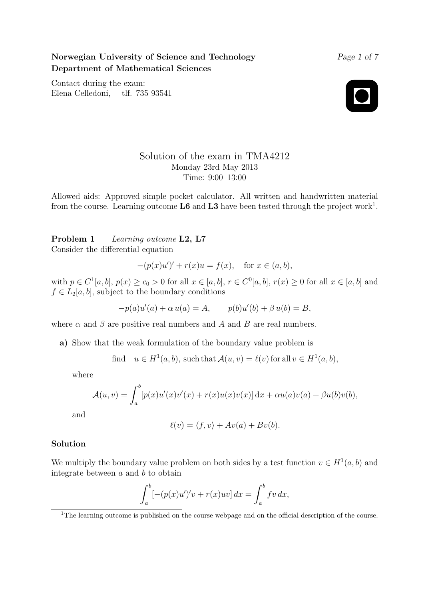Norwegian University of Science and Technology Department of Mathematical Sciences

Contact during the exam: Elena Celledoni, tlf. 735 93541



Page 1 of 7

# Solution of the exam in TMA4212 Monday 23rd May 2013 Time: 9:00–13:00

Allowed aids: Approved simple pocket calculator. All written and handwritten material from the course. Learning outcome  $\text{L6}$  and  $\text{L3}$  have been tested through the project work<sup>1</sup>.

Problem 1 Learning outcome L2, L7 Consider the differential equation

$$
-(p(x)u')' + r(x)u = f(x), \quad \text{for } x \in (a, b),
$$

with  $p \in C^{1}[a, b], p(x) \ge c_0 > 0$  for all  $x \in [a, b], r \in C^{0}[a, b], r(x) \ge 0$  for all  $x \in [a, b]$  and  $f \in L_2[a, b]$ , subject to the boundary conditions

$$
-p(a)u'(a) + \alpha u(a) = A, \qquad p(b)u'(b) + \beta u(b) = B,
$$

where  $\alpha$  and  $\beta$  are positive real numbers and A and B are real numbers.

a) Show that the weak formulation of the boundary value problem is

find  $u \in H^1(a, b)$ , such that  $\mathcal{A}(u, v) = \ell(v)$  for all  $v \in H^1(a, b)$ ,

where

$$
\mathcal{A}(u,v) = \int_a^b [p(x)u'(x)v'(x) + r(x)u(x)v(x)] dx + \alpha u(a)v(a) + \beta u(b)v(b),
$$

and

$$
\ell(v) = \langle f, v \rangle + Av(a) + Bv(b).
$$

# Solution

We multiply the boundary value problem on both sides by a test function  $v \in H^1(a, b)$  and integrate between  $a$  and  $b$  to obtain

$$
\int_a^b \left[ -(p(x)u')'v + r(x)uv \right] dx = \int_a^b f v dx,
$$

<sup>&</sup>lt;sup>1</sup>The learning outcome is published on the course webpage and on the official description of the course.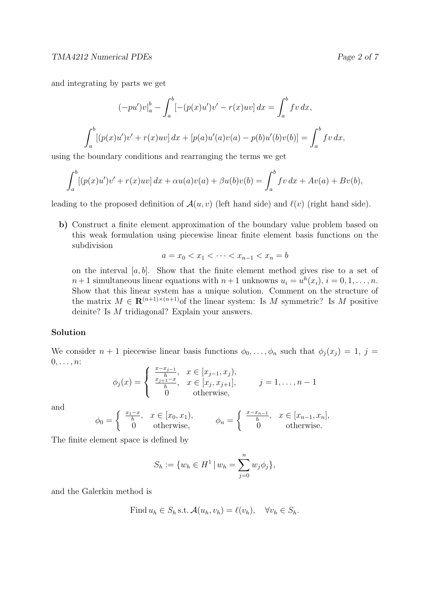and integrating by parts we get

$$
(-pu')v|_a^b - \int_a^b [-(p(x)u')v' - r(x)uv] dx = \int_a^b fv dx,
$$
  

$$
\int_a^b [(p(x)u')v' + r(x)uv] dx + [p(a)u'(a)v(a) - p(b)u'(b)v(b)] = \int_a^b fv dx,
$$

using the boundary conditions and rearranging the terms we get

$$
\int_{a}^{b} [(p(x)u')v' + r(x)uv] dx + \alpha u(a)v(a) + \beta u(b)v(b) = \int_{a}^{b} fv dx + Av(a) + Bv(b),
$$

leading to the proposed definition of  $\mathcal{A}(u, v)$  (left hand side) and  $\ell(v)$  (right hand side).

b) Construct a finite element approximation of the boundary value problem based on this weak formulation using piecewise linear finite element basis functions on the subdivision

$$
a = x_0 < x_1 < \dots < x_{n-1} < x_n = b
$$

on the interval  $[a, b]$ . Show that the finite element method gives rise to a set of  $n+1$  simultaneous linear equations with  $n+1$  unknowns  $u_i = u^h(x_i)$ ,  $i = 0, 1, \ldots, n$ . Show that this linear system has a unique solution. Comment on the structure of the matrix  $M \in \mathbf{R}^{(n+1)\times(n+1)}$  of the linear system: Is M symmetric? Is M positive deinite? Is M tridiagonal? Explain your answers.

# Solution

We consider  $n + 1$  piecewise linear basis functions  $\phi_0, \ldots, \phi_n$  such that  $\phi_j(x_j) = 1, j =$  $0, \ldots, n$ :

$$
\phi_j(x) = \begin{cases} \frac{x - x_{j-1}}{h}, & x \in [x_{j-1}, x_j), \\ \frac{x_{j+1} - x}{h}, & x \in [x_j, x_{j+1}], \\ 0 & \text{otherwise}, \end{cases} \qquad j = 1, \dots, n-1
$$

and

$$
\phi_0 = \begin{cases} \frac{x_1 - x}{h}, & x \in [x_0, x_1), \\ 0 & \text{otherwise,} \end{cases} \qquad \phi_n = \begin{cases} \frac{x - x_{n-1}}{h}, & x \in [x_{n-1}, x_n], \\ 0 & \text{otherwise.} \end{cases}
$$

The finite element space is defined by

$$
S_h := \{ w_h \in H^1 \mid w_h = \sum_{j=0}^n w_j \phi_j \},
$$

and the Galerkin method is

Find 
$$
u_h \in S_h
$$
 s.t.  $\mathcal{A}(u_h, v_h) = \ell(v_h), \quad \forall v_h \in S_h$ .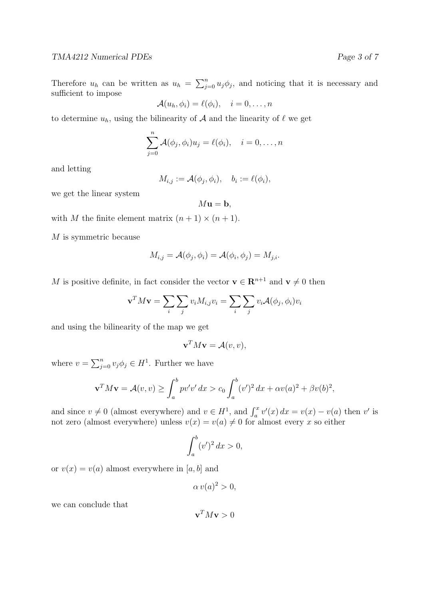Therefore  $u_h$  can be written as  $u_h = \sum_{j=0}^n u_j \phi_j$ , and noticing that it is necessary and sufficient to impose

$$
\mathcal{A}(u_h, \phi_i) = \ell(\phi_i), \quad i = 0, \dots, n
$$

to determine  $u_h$ , using the bilinearity of A and the linearity of  $\ell$  we get

$$
\sum_{j=0}^{n} \mathcal{A}(\phi_j, \phi_i) u_j = \ell(\phi_i), \quad i = 0, \dots, n
$$

and letting

$$
M_{i,j} := \mathcal{A}(\phi_j, \phi_i), \quad b_i := \ell(\phi_i),
$$

we get the linear system

 $M\mathbf{u} = \mathbf{b}$ ,

with M the finite element matrix  $(n + 1) \times (n + 1)$ .

M is symmetric because

$$
M_{i,j} = \mathcal{A}(\phi_j, \phi_i) = \mathcal{A}(\phi_i, \phi_j) = M_{j,i}.
$$

M is positive definite, in fact consider the vector  $\mathbf{v} \in \mathbb{R}^{n+1}$  and  $\mathbf{v} \neq 0$  then

$$
\mathbf{v}^T M \mathbf{v} = \sum_i \sum_j v_i M_{i,j} v_i = \sum_i \sum_j v_i \mathcal{A}(\phi_j, \phi_i) v_i
$$

and using the bilinearity of the map we get

$$
\mathbf{v}^T M \mathbf{v} = \mathcal{A}(v, v),
$$

where  $v = \sum_{j=0}^{n} v_j \phi_j \in H^1$ . Further we have

$$
\mathbf{v}^T M \mathbf{v} = \mathcal{A}(v, v) \ge \int_a^b p v' v' dx > c_0 \int_a^b (v')^2 dx + \alpha v(a)^2 + \beta v(b)^2,
$$

and since  $v \neq 0$  (almost everywhere) and  $v \in H^1$ , and  $\int_a^x v'(x) dx = v(x) - v(a)$  then v' is not zero (almost everywhere) unless  $v(x) = v(a) \neq 0$  for almost every x so either

$$
\int_a^b (v')^2 dx > 0,
$$

or  $v(x) = v(a)$  almost everywhere in [a, b] and

$$
\alpha v(a)^2 > 0,
$$

we can conclude that

 $\mathbf{v}^TM\mathbf{v}>0$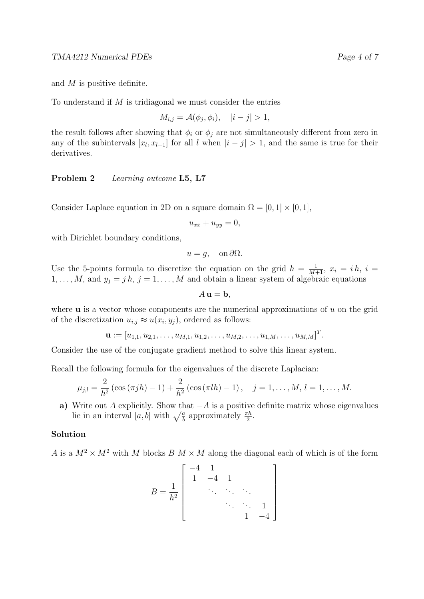and M is positive definite.

To understand if  $M$  is tridiagonal we must consider the entries

$$
M_{i,j} = \mathcal{A}(\phi_j, \phi_i), \quad |i - j| > 1,
$$

the result follows after showing that  $\phi_i$  or  $\phi_j$  are not simultaneously different from zero in any of the subintervals  $[x_l, x_{l+1}]$  for all l when  $|i - j| > 1$ , and the same is true for their derivatives.

Problem 2 Learning outcome L5, L7

Consider Laplace equation in 2D on a square domain  $\Omega = [0, 1] \times [0, 1]$ ,

 $u_{xx} + u_{yy} = 0,$ 

with Dirichlet boundary conditions,

$$
u = g, \quad \text{on } \partial \Omega.
$$

Use the 5-points formula to discretize the equation on the grid  $h = \frac{1}{M+1}$ ,  $x_i = ih$ ,  $i =$  $1, \ldots, M$ , and  $y_j = j h$ ,  $j = 1, \ldots, M$  and obtain a linear system of algebraic equations

 $A$ **u** = **b**,

where  $\bf{u}$  is a vector whose components are the numerical approximations of  $\bf{u}$  on the grid of the discretization  $u_{i,j} \approx u(x_i, y_j)$ , ordered as follows:

$$
\mathbf{u} := [u_{1,1}, u_{2,1}, \dots, u_{M,1}, u_{1,2}, \dots, u_{M,2}, \dots, u_{1,M}, \dots, u_{M,M}]^T.
$$

Consider the use of the conjugate gradient method to solve this linear system.

Recall the following formula for the eigenvalues of the discrete Laplacian:

$$
\mu_{j,l} = \frac{2}{h^2} (\cos(\pi jh) - 1) + \frac{2}{h^2} (\cos(\pi l h) - 1), \quad j = 1, ..., M, l = 1, ..., M.
$$

a) Write out A explicitly. Show that  $-A$  is a positive definite matrix whose eigenvalues lie in an interval  $[a, b]$  with  $\sqrt{\frac{a}{b}}$  approximately  $\frac{\pi h}{2}$ .

#### Solution

A is a  $M^2 \times M^2$  with M blocks B  $M \times M$  along the diagonal each of which is of the form

$$
B = \frac{1}{h^2} \left[ \begin{array}{cccc} -4 & 1 & & & \\ 1 & -4 & 1 & & \\ & \ddots & \ddots & \ddots & \\ & & \ddots & \ddots & 1 \\ & & & 1 & -4 \end{array} \right]
$$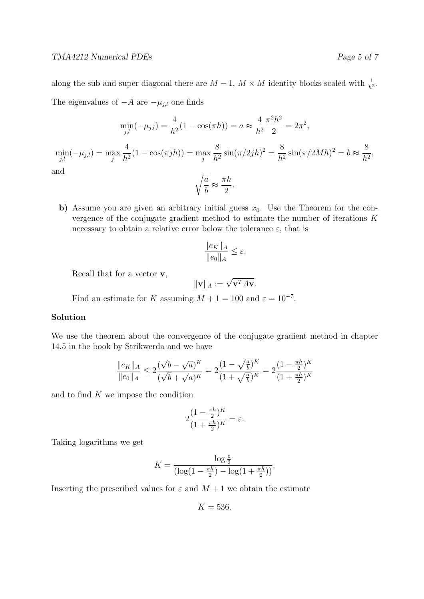along the sub and super diagonal there are  $M-1$ ,  $M \times M$  identity blocks scaled with  $\frac{1}{h^2}$ . The eigenvalues of  $-A$  are  $-\mu_{j,l}$  one finds

$$
\min_{j,l}(-\mu_{j,l}) = \frac{4}{h^2}(1 - \cos(\pi h)) = a \approx \frac{4}{h^2}\frac{\pi^2 h^2}{2} = 2\pi^2,
$$
  

$$
\min_{j,l}(-\mu_{j,l}) = \max_{j} \frac{4}{h^2}(1 - \cos(\pi jh)) = \max_{j} \frac{8}{h^2}\sin(\pi/2jh)^2 = \frac{8}{h^2}\sin(\pi/2Mh)^2 = b \approx \frac{8}{h^2},
$$
  
and  

$$
\sqrt{\frac{a}{b}} \approx \frac{\pi h}{2}.
$$

b) Assume you are given an arbitrary initial guess  $x_0$ . Use the Theorem for the convergence of the conjugate gradient method to estimate the number of iterations K necessary to obtain a relative error below the tolerance  $\varepsilon$ , that is

$$
\frac{\|e_K\|_A}{\|e_0\|_A} \le \varepsilon.
$$

Recall that for a vector v,

$$
\|\mathbf{v}\|_A := \sqrt{\mathbf{v}^T A \mathbf{v}}.
$$

Find an estimate for K assuming  $M + 1 = 100$  and  $\varepsilon = 10^{-7}$ .

## Solution

We use the theorem about the convergence of the conjugate gradient method in chapter 14.5 in the book by Strikwerda and we have

$$
\frac{\|e_K\|_A}{\|e_0\|_A} \le 2 \frac{(\sqrt{b} - \sqrt{a})^K}{(\sqrt{b} + \sqrt{a})^K} = 2 \frac{(1 - \sqrt{\frac{a}{b}})^K}{(1 + \sqrt{\frac{a}{b}})^K} = 2 \frac{(1 - \frac{\pi h}{2})^K}{(1 + \frac{\pi h}{2})^K}
$$

and to find  $K$  we impose the condition

$$
2\frac{(1-\frac{\pi h}{2})^K}{(1+\frac{\pi h}{2})^K} = \varepsilon.
$$

Taking logarithms we get

$$
K = \frac{\log \frac{\varepsilon}{2}}{(\log(1 - \frac{\pi h}{2}) - \log(1 + \frac{\pi h}{2}))}.
$$

Inserting the prescribed values for  $\varepsilon$  and  $M+1$  we obtain the estimate

$$
K=536.
$$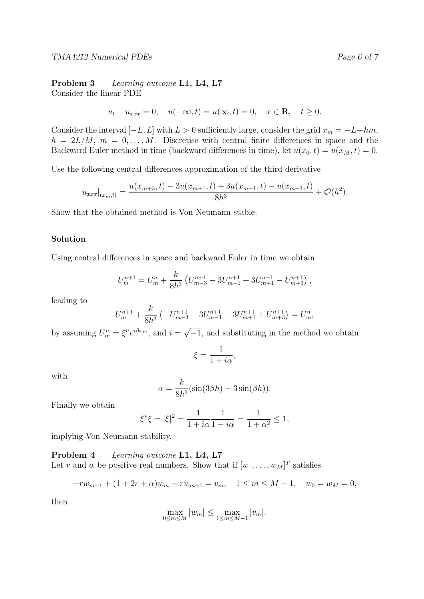Problem 3 Learning outcome L1, L4, L7 Consider the linear PDE

$$
u_t + u_{xxx} = 0
$$
,  $u(-\infty, t) = u(\infty, t) = 0$ ,  $x \in \mathbb{R}$ ,  $t \ge 0$ .

Consider the interval  $[-L, L]$  with  $L > 0$  sufficiently large, consider the grid  $x_m = -L + hm$ ,  $h = 2L/M$ ,  $m = 0, \ldots, M$ . Discretise with central finite differences in space and the Backward Euler method in time (backward differences in time), let  $u(x_0, t) = u(x_M, t) = 0$ .

Use the following central differences approximation of the third derivative

$$
u_{xxx}|_{(x_m,t)} = \frac{u(x_{m+3},t) - 3u(x_{m+1},t) + 3u(x_{m-1},t) - u(x_{m-3},t)}{8h^3} + \mathcal{O}(h^2).
$$

Show that the obtained method is Von Neumann stable.

#### Solution

Using central differences in space and backward Euler in time we obtain

$$
U_m^{n+1} = U_m^n + \frac{k}{8h^3} \left( U_{m-3}^{n+1} - 3U_{m-1}^{n+1} + 3U_{m+1}^{n+1} - U_{m+3}^{n+1} \right),
$$

leading to

$$
U_m^{n+1} + \frac{k}{8h^3} \left( -U_{m-3}^{n+1} + 3U_{m-1}^{n+1} - 3U_{m+1}^{n+1} + U_{m+3}^{n+1} \right) = U_m^n,
$$

by assuming  $U_m^n = \xi^n e^{i\beta x_m}$ , and  $i =$  $\overline{-1}$ , and substituting in the method we obtain

$$
\xi = \frac{1}{1 + i\alpha},
$$

with

$$
\alpha = \frac{k}{8h^3} (\sin(3\beta h) - 3\sin(\beta h)).
$$

Finally we obtain

$$
\xi^* \xi = |\xi|^2 = \frac{1}{1 + i\alpha} \frac{1}{1 - i\alpha} = \frac{1}{1 + \alpha^2} \le 1,
$$

implying Von Neumann stability.

Problem 4 Learning outcome L1, L4, L7 Let r and  $\alpha$  be positive real numbers. Show that if  $[w_1, \ldots, w_M]^T$  satisfies

$$
-rw_{m-1} + (1+2r+\alpha)w_m - rw_{m+1} = v_m, \quad 1 \le m \le M-1, \quad w_0 = w_M = 0,
$$

then

$$
\max_{0 \le m \le M} |w_m| \le \max_{1 \le m \le M-1} |v_m|.
$$